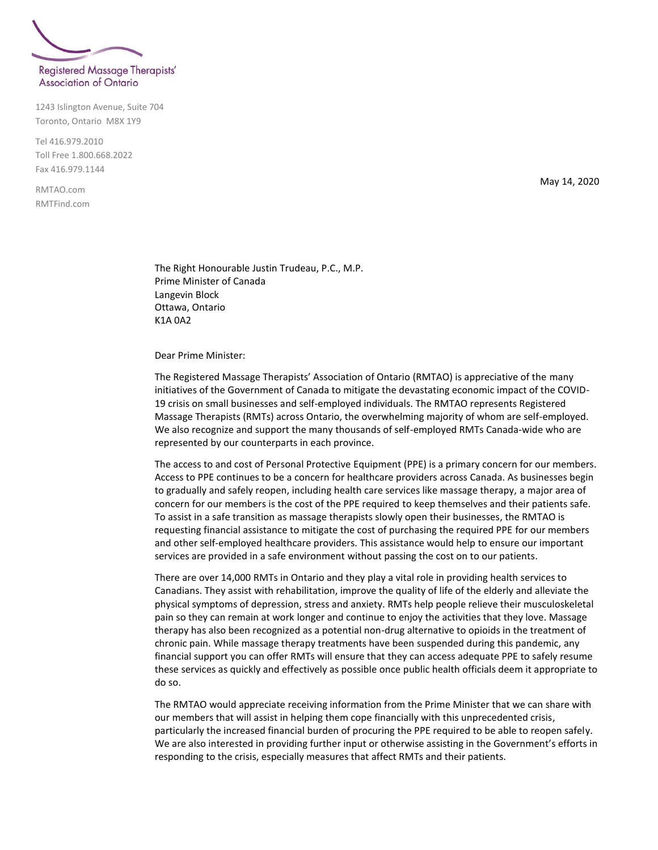

1243 Islington Avenue, Suite 704 Toronto, Ontario M8X 1Y9

Tel 416.979.2010 Toll Free 1.800.668.2022 Fax 416.979.1144

RMTAO.com RMTFind.com May 14, 2020

The Right Honourable Justin Trudeau, P.C., M.P. Prime Minister of Canada Langevin Block Ottawa, Ontario K1A 0A2

Dear Prime Minister:

The Registered Massage Therapists' Association of Ontario (RMTAO) is appreciative of the many initiatives of the Government of Canada to mitigate the devastating economic impact of the COVID-19 crisis on small businesses and self-employed individuals. The RMTAO represents Registered Massage Therapists (RMTs) across Ontario, the overwhelming majority of whom are self-employed. We also recognize and support the many thousands of self-employed RMTs Canada-wide who are represented by our counterparts in each province.

The access to and cost of Personal Protective Equipment (PPE) is a primary concern for our members. Access to PPE continues to be a concern for healthcare providers across Canada. As businesses begin to gradually and safely reopen, including health care services like massage therapy, a major area of concern for our members is the cost of the PPE required to keep themselves and their patients safe. To assist in a safe transition as massage therapists slowly open their businesses, the RMTAO is requesting financial assistance to mitigate the cost of purchasing the required PPE for our members and other self-employed healthcare providers. This assistance would help to ensure our important services are provided in a safe environment without passing the cost on to our patients.

There are over 14,000 RMTs in Ontario and they play a vital role in providing health services to Canadians. They assist with rehabilitation, improve the quality of life of the elderly and alleviate the physical symptoms of depression, stress and anxiety. RMTs help people relieve their musculoskeletal pain so they can remain at work longer and continue to enjoy the activities that they love. Massage therapy has also been recognized as a potential non-drug alternative to opioids in the treatment of chronic pain. While massage therapy treatments have been suspended during this pandemic, any financial support you can offer RMTs will ensure that they can access adequate PPE to safely resume these services as quickly and effectively as possible once public health officials deem it appropriate to do so.

The RMTAO would appreciate receiving information from the Prime Minister that we can share with our members that will assist in helping them cope financially with this unprecedented crisis, particularly the increased financial burden of procuring the PPE required to be able to reopen safely. We are also interested in providing further input or otherwise assisting in the Government's efforts in responding to the crisis, especially measures that affect RMTs and their patients.